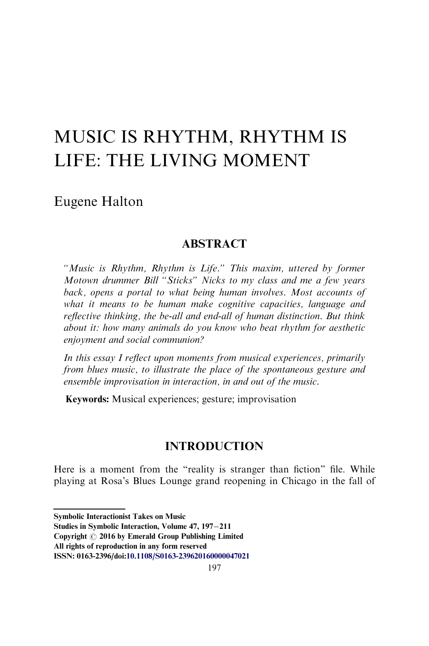# MUSIC IS RHYTHM, RHYTHM IS LIFE: THE LIVING MOMENT

Eugene Halton

# **ABSTRACT**

"Music is Rhythm, Rhythm is Life." This maxim, uttered by former Motown drummer Bill "Sticks" Nicks to my class and me a few years back, opens a portal to what being human involves. Most accounts of what it means to be human make cognitive capacities, language and reflective thinking, the be-all and end-all of human distinction. But think about it: how many animals do you know who beat rhythm for aesthetic enjoyment and social communion?

In this essay I reflect upon moments from musical experiences, primarily from blues music, to illustrate the place of the spontaneous gesture and ensemble improvisation in interaction, in and out of the music.

Keywords: Musical experiences; gesture; improvisation

# INTRODUCTION

Here is a moment from the "reality is stranger than fiction" file. While playing at Rosa's Blues Lounge grand reopening in Chicago in the fall of

Symbolic Interactionist Takes on Music

Studies in Symbolic Interaction, Volume 47, 197-211

Copyright  $\odot$  2016 by Emerald Group Publishing Limited

All rights of reproduction in any form reserved

ISSN: 0163-2396/doi:[10.1108/S0163-239620160000047021](http://dx.doi.org/10.1108/S0163-239620160000047021)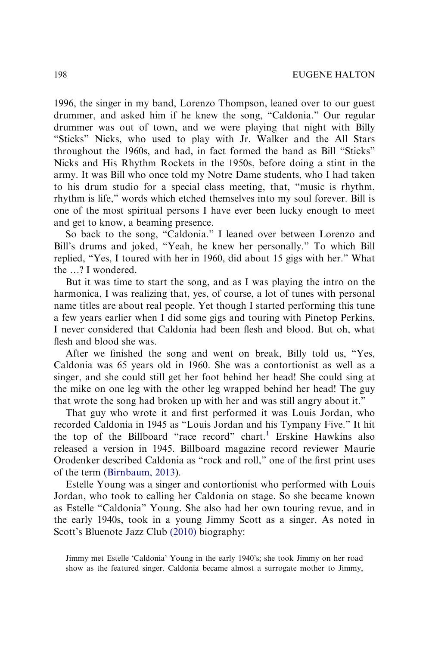1996, the singer in my band, Lorenzo Thompson, leaned over to our guest drummer, and asked him if he knew the song, "Caldonia." Our regular drummer was out of town, and we were playing that night with Billy "Sticks" Nicks, who used to play with Jr. Walker and the All Stars throughout the 1960s, and had, in fact formed the band as Bill "Sticks" Nicks and His Rhythm Rockets in the 1950s, before doing a stint in the army. It was Bill who once told my Notre Dame students, who I had taken to his drum studio for a special class meeting, that, "music is rhythm, rhythm is life," words which etched themselves into my soul forever. Bill is one of the most spiritual persons I have ever been lucky enough to meet and get to know, a beaming presence.

So back to the song, "Caldonia." I leaned over between Lorenzo and Bill's drums and joked, "Yeah, he knew her personally." To which Bill replied, "Yes, I toured with her in 1960, did about 15 gigs with her." What the …? I wondered.

But it was time to start the song, and as I was playing the intro on the harmonica, I was realizing that, yes, of course, a lot of tunes with personal name titles are about real people. Yet though I started performing this tune a few years earlier when I did some gigs and touring with Pinetop Perkins, I never considered that Caldonia had been flesh and blood. But oh, what flesh and blood she was.

After we finished the song and went on break, Billy told us, "Yes, Caldonia was 65 years old in 1960. She was a contortionist as well as a singer, and she could still get her foot behind her head! She could sing at the mike on one leg with the other leg wrapped behind her head! The guy that wrote the song had broken up with her and was still angry about it."

That guy who wrote it and first performed it was Louis Jordan, who recorded Caldonia in 1945 as "Louis Jordan and his Tympany Five." It hit the top of the Billboard "race record" chart.<sup>[1](#page-13-0)</sup> Erskine Hawkins also released a version in 1945. Billboard magazine record reviewer Maurie Orodenker described Caldonia as "rock and roll," one of the first print uses of the term ([Birnbaum, 2013\)](#page-14-0).

Estelle Young was a singer and contortionist who performed with Louis Jordan, who took to calling her Caldonia on stage. So she became known as Estelle "Caldonia" Young. She also had her own touring revue, and in the early 1940s, took in a young Jimmy Scott as a singer. As noted in Scott's Bluenote Jazz Club [\(2010\)](#page-14-0) biography:

Jimmy met Estelle 'Caldonia' Young in the early 1940's; she took Jimmy on her road show as the featured singer. Caldonia became almost a surrogate mother to Jimmy,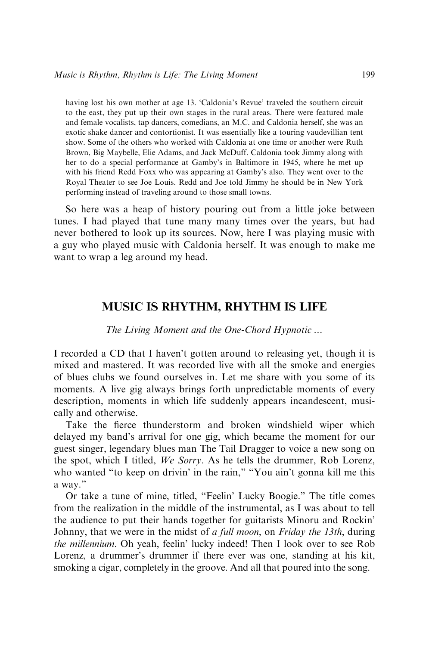having lost his own mother at age 13. 'Caldonia's Revue' traveled the southern circuit to the east, they put up their own stages in the rural areas. There were featured male and female vocalists, tap dancers, comedians, an M.C. and Caldonia herself, she was an exotic shake dancer and contortionist. It was essentially like a touring vaudevillian tent show. Some of the others who worked with Caldonia at one time or another were Ruth Brown, Big Maybelle, Elie Adams, and Jack McDuff. Caldonia took Jimmy along with her to do a special performance at Gamby's in Baltimore in 1945, where he met up with his friend Redd Foxx who was appearing at Gamby's also. They went over to the Royal Theater to see Joe Louis. Redd and Joe told Jimmy he should be in New York performing instead of traveling around to those small towns.

So here was a heap of history pouring out from a little joke between tunes. I had played that tune many many times over the years, but had never bothered to look up its sources. Now, here I was playing music with a guy who played music with Caldonia herself. It was enough to make me want to wrap a leg around my head.

## MUSIC IS RHYTHM, RHYTHM IS LIFE

The Living Moment and the One-Chord Hypnotic …

I recorded a CD that I haven't gotten around to releasing yet, though it is mixed and mastered. It was recorded live with all the smoke and energies of blues clubs we found ourselves in. Let me share with you some of its moments. A live gig always brings forth unpredictable moments of every description, moments in which life suddenly appears incandescent, musically and otherwise.

Take the fierce thunderstorm and broken windshield wiper which delayed my band's arrival for one gig, which became the moment for our guest singer, legendary blues man The Tail Dragger to voice a new song on the spot, which I titled, We Sorry. As he tells the drummer, Rob Lorenz, who wanted "to keep on drivin' in the rain," "You ain't gonna kill me this a way."

Or take a tune of mine, titled, "Feelin' Lucky Boogie." The title comes from the realization in the middle of the instrumental, as I was about to tell the audience to put their hands together for guitarists Minoru and Rockin' Johnny, that we were in the midst of a full moon, on Friday the 13th, during the millennium. Oh yeah, feelin' lucky indeed! Then I look over to see Rob Lorenz, a drummer's drummer if there ever was one, standing at his kit, smoking a cigar, completely in the groove. And all that poured into the song.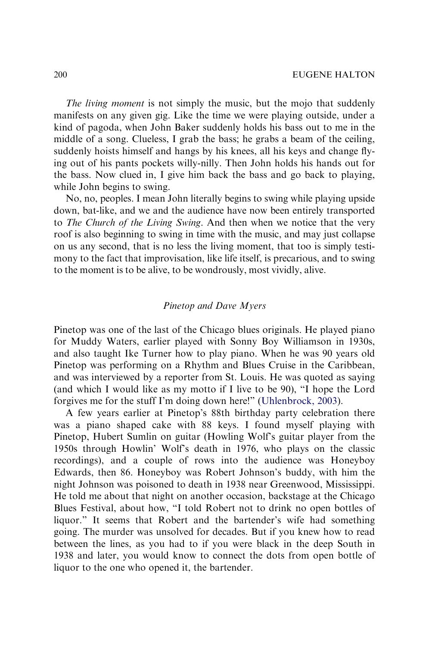The living moment is not simply the music, but the mojo that suddenly manifests on any given gig. Like the time we were playing outside, under a kind of pagoda, when John Baker suddenly holds his bass out to me in the middle of a song. Clueless, I grab the bass; he grabs a beam of the ceiling, suddenly hoists himself and hangs by his knees, all his keys and change flying out of his pants pockets willy-nilly. Then John holds his hands out for the bass. Now clued in, I give him back the bass and go back to playing, while John begins to swing.

No, no, peoples. I mean John literally begins to swing while playing upside down, bat-like, and we and the audience have now been entirely transported to The Church of the Living Swing. And then when we notice that the very roof is also beginning to swing in time with the music, and may just collapse on us any second, that is no less the living moment, that too is simply testimony to the fact that improvisation, like life itself, is precarious, and to swing to the moment is to be alive, to be wondrously, most vividly, alive.

#### Pinetop and Dave Myers

Pinetop was one of the last of the Chicago blues originals. He played piano for Muddy Waters, earlier played with Sonny Boy Williamson in 1930s, and also taught Ike Turner how to play piano. When he was 90 years old Pinetop was performing on a Rhythm and Blues Cruise in the Caribbean, and was interviewed by a reporter from St. Louis. He was quoted as saying (and which I would like as my motto if I live to be 90), "I hope the Lord forgives me for the stuff I'm doing down here!" [\(Uhlenbrock, 2003\)](#page-14-0).

A few years earlier at Pinetop's 88th birthday party celebration there was a piano shaped cake with 88 keys. I found myself playing with Pinetop, Hubert Sumlin on guitar (Howling Wolf's guitar player from the 1950s through Howlin' Wolf's death in 1976, who plays on the classic recordings), and a couple of rows into the audience was Honeyboy Edwards, then 86. Honeyboy was Robert Johnson's buddy, with him the night Johnson was poisoned to death in 1938 near Greenwood, Mississippi. He told me about that night on another occasion, backstage at the Chicago Blues Festival, about how, "I told Robert not to drink no open bottles of liquor." It seems that Robert and the bartender's wife had something going. The murder was unsolved for decades. But if you knew how to read between the lines, as you had to if you were black in the deep South in 1938 and later, you would know to connect the dots from open bottle of liquor to the one who opened it, the bartender.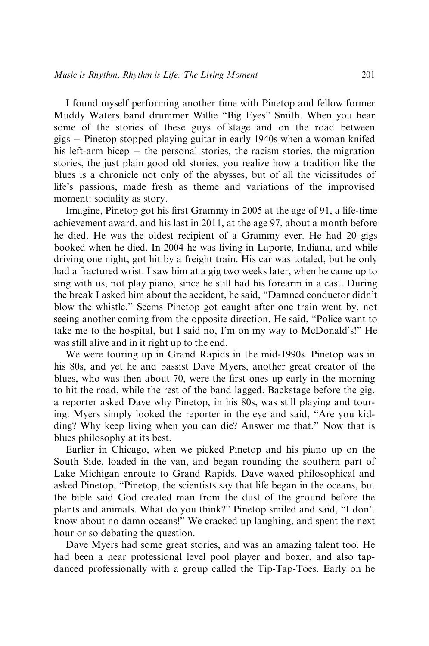I found myself performing another time with Pinetop and fellow former Muddy Waters band drummer Willie "Big Eyes" Smith. When you hear some of the stories of these guys offstage and on the road between  $gigs - Pinetop stopped playing guitar in early 1940s when a woman knife$ his left-arm bicep  $-$  the personal stories, the racism stories, the migration stories, the just plain good old stories, you realize how a tradition like the blues is a chronicle not only of the abysses, but of all the vicissitudes of life's passions, made fresh as theme and variations of the improvised moment: sociality as story.

Imagine, Pinetop got his first Grammy in 2005 at the age of 91, a life-time achievement award, and his last in 2011, at the age 97, about a month before he died. He was the oldest recipient of a Grammy ever. He had 20 gigs booked when he died. In 2004 he was living in Laporte, Indiana, and while driving one night, got hit by a freight train. His car was totaled, but he only had a fractured wrist. I saw him at a gig two weeks later, when he came up to sing with us, not play piano, since he still had his forearm in a cast. During the break I asked him about the accident, he said, "Damned conductor didn't blow the whistle." Seems Pinetop got caught after one train went by, not seeing another coming from the opposite direction. He said, "Police want to take me to the hospital, but I said no, I'm on my way to McDonald's!" He was still alive and in it right up to the end.

We were touring up in Grand Rapids in the mid-1990s. Pinetop was in his 80s, and yet he and bassist Dave Myers, another great creator of the blues, who was then about 70, were the first ones up early in the morning to hit the road, while the rest of the band lagged. Backstage before the gig, a reporter asked Dave why Pinetop, in his 80s, was still playing and touring. Myers simply looked the reporter in the eye and said, "Are you kidding? Why keep living when you can die? Answer me that." Now that is blues philosophy at its best.

Earlier in Chicago, when we picked Pinetop and his piano up on the South Side, loaded in the van, and began rounding the southern part of Lake Michigan enroute to Grand Rapids, Dave waxed philosophical and asked Pinetop, "Pinetop, the scientists say that life began in the oceans, but the bible said God created man from the dust of the ground before the plants and animals. What do you think?" Pinetop smiled and said, "I don't know about no damn oceans!" We cracked up laughing, and spent the next hour or so debating the question.

Dave Myers had some great stories, and was an amazing talent too. He had been a near professional level pool player and boxer, and also tapdanced professionally with a group called the Tip-Tap-Toes. Early on he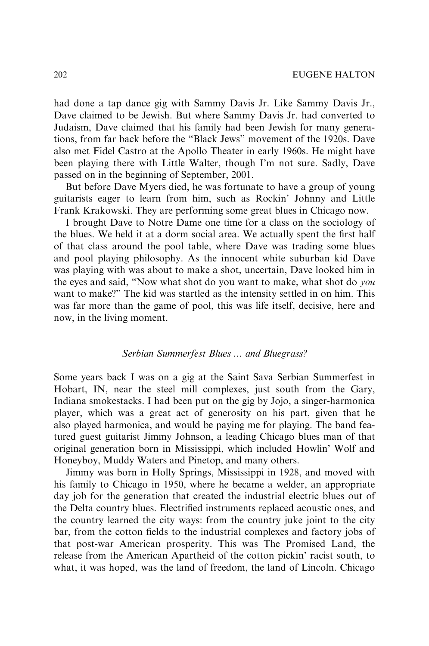had done a tap dance gig with Sammy Davis Jr. Like Sammy Davis Jr., Dave claimed to be Jewish. But where Sammy Davis Jr. had converted to Judaism, Dave claimed that his family had been Jewish for many generations, from far back before the "Black Jews" movement of the 1920s. Dave also met Fidel Castro at the Apollo Theater in early 1960s. He might have been playing there with Little Walter, though I'm not sure. Sadly, Dave passed on in the beginning of September, 2001.

But before Dave Myers died, he was fortunate to have a group of young guitarists eager to learn from him, such as Rockin' Johnny and Little Frank Krakowski. They are performing some great blues in Chicago now.

I brought Dave to Notre Dame one time for a class on the sociology of the blues. We held it at a dorm social area. We actually spent the first half of that class around the pool table, where Dave was trading some blues and pool playing philosophy. As the innocent white suburban kid Dave was playing with was about to make a shot, uncertain, Dave looked him in the eyes and said, "Now what shot do you want to make, what shot do you want to make?" The kid was startled as the intensity settled in on him. This was far more than the game of pool, this was life itself, decisive, here and now, in the living moment.

#### Serbian Summerfest Blues … and Bluegrass?

Some years back I was on a gig at the Saint Sava Serbian Summerfest in Hobart, IN, near the steel mill complexes, just south from the Gary, Indiana smokestacks. I had been put on the gig by Jojo, a singer-harmonica player, which was a great act of generosity on his part, given that he also played harmonica, and would be paying me for playing. The band featured guest guitarist Jimmy Johnson, a leading Chicago blues man of that original generation born in Mississippi, which included Howlin' Wolf and Honeyboy, Muddy Waters and Pinetop, and many others.

Jimmy was born in Holly Springs, Mississippi in 1928, and moved with his family to Chicago in 1950, where he became a welder, an appropriate day job for the generation that created the industrial electric blues out of the Delta country blues. Electrified instruments replaced acoustic ones, and the country learned the city ways: from the country juke joint to the city bar, from the cotton fields to the industrial complexes and factory jobs of that post-war American prosperity. This was The Promised Land, the release from the American Apartheid of the cotton pickin' racist south, to what, it was hoped, was the land of freedom, the land of Lincoln. Chicago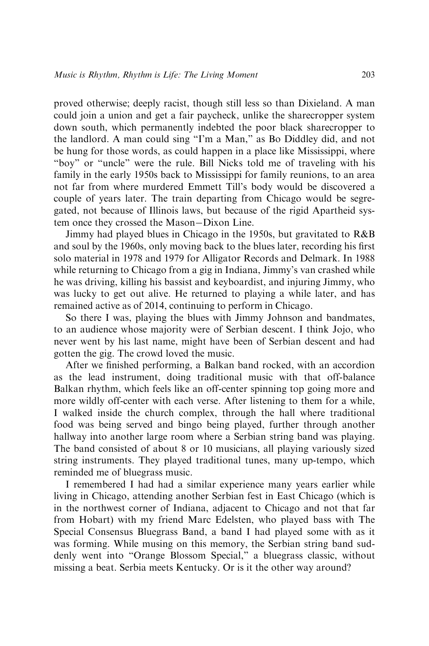proved otherwise; deeply racist, though still less so than Dixieland. A man could join a union and get a fair paycheck, unlike the sharecropper system down south, which permanently indebted the poor black sharecropper to the landlord. A man could sing "I'm a Man," as Bo Diddley did, and not be hung for those words, as could happen in a place like Mississippi, where "boy" or "uncle" were the rule. Bill Nicks told me of traveling with his family in the early 1950s back to Mississippi for family reunions, to an area not far from where murdered Emmett Till's body would be discovered a couple of years later. The train departing from Chicago would be segregated, not because of Illinois laws, but because of the rigid Apartheid system once they crossed the Mason-Dixon Line.

Jimmy had played blues in Chicago in the 1950s, but gravitated to R&B and soul by the 1960s, only moving back to the blues later, recording his first solo material in 1978 and 1979 for Alligator Records and Delmark. In 1988 while returning to Chicago from a gig in Indiana, Jimmy's van crashed while he was driving, killing his bassist and keyboardist, and injuring Jimmy, who was lucky to get out alive. He returned to playing a while later, and has remained active as of 2014, continuing to perform in Chicago.

So there I was, playing the blues with Jimmy Johnson and bandmates, to an audience whose majority were of Serbian descent. I think Jojo, who never went by his last name, might have been of Serbian descent and had gotten the gig. The crowd loved the music.

After we finished performing, a Balkan band rocked, with an accordion as the lead instrument, doing traditional music with that off-balance Balkan rhythm, which feels like an off-center spinning top going more and more wildly off-center with each verse. After listening to them for a while, I walked inside the church complex, through the hall where traditional food was being served and bingo being played, further through another hallway into another large room where a Serbian string band was playing. The band consisted of about 8 or 10 musicians, all playing variously sized string instruments. They played traditional tunes, many up-tempo, which reminded me of bluegrass music.

I remembered I had had a similar experience many years earlier while living in Chicago, attending another Serbian fest in East Chicago (which is in the northwest corner of Indiana, adjacent to Chicago and not that far from Hobart) with my friend Marc Edelsten, who played bass with The Special Consensus Bluegrass Band, a band I had played some with as it was forming. While musing on this memory, the Serbian string band suddenly went into "Orange Blossom Special," a bluegrass classic, without missing a beat. Serbia meets Kentucky. Or is it the other way around?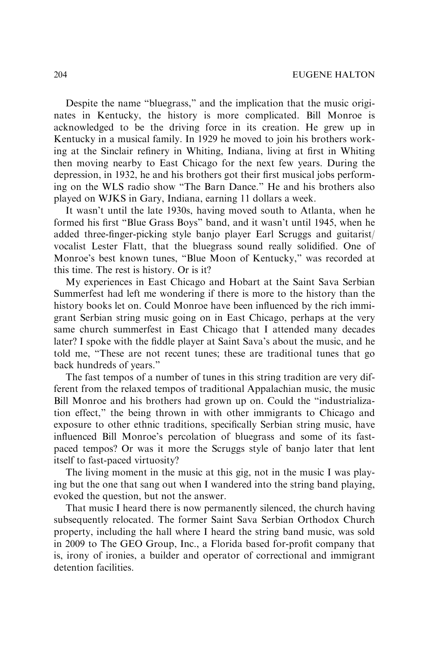Despite the name "bluegrass," and the implication that the music originates in Kentucky, the history is more complicated. Bill Monroe is acknowledged to be the driving force in its creation. He grew up in Kentucky in a musical family. In 1929 he moved to join his brothers working at the Sinclair refinery in Whiting, Indiana, living at first in Whiting then moving nearby to East Chicago for the next few years. During the depression, in 1932, he and his brothers got their first musical jobs performing on the WLS radio show "The Barn Dance." He and his brothers also played on WJKS in Gary, Indiana, earning 11 dollars a week.

It wasn't until the late 1930s, having moved south to Atlanta, when he formed his first "Blue Grass Boys" band, and it wasn't until 1945, when he added three-finger-picking style banjo player Earl Scruggs and guitarist/ vocalist Lester Flatt, that the bluegrass sound really solidified. One of Monroe's best known tunes, "Blue Moon of Kentucky," was recorded at this time. The rest is history. Or is it?

My experiences in East Chicago and Hobart at the Saint Sava Serbian Summerfest had left me wondering if there is more to the history than the history books let on. Could Monroe have been influenced by the rich immigrant Serbian string music going on in East Chicago, perhaps at the very same church summerfest in East Chicago that I attended many decades later? I spoke with the fiddle player at Saint Sava's about the music, and he told me, "These are not recent tunes; these are traditional tunes that go back hundreds of years."

The fast tempos of a number of tunes in this string tradition are very different from the relaxed tempos of traditional Appalachian music, the music Bill Monroe and his brothers had grown up on. Could the "industrialization effect," the being thrown in with other immigrants to Chicago and exposure to other ethnic traditions, specifically Serbian string music, have influenced Bill Monroe's percolation of bluegrass and some of its fastpaced tempos? Or was it more the Scruggs style of banjo later that lent itself to fast-paced virtuosity?

The living moment in the music at this gig, not in the music I was playing but the one that sang out when I wandered into the string band playing, evoked the question, but not the answer.

That music I heard there is now permanently silenced, the church having subsequently relocated. The former Saint Sava Serbian Orthodox Church property, including the hall where I heard the string band music, was sold in 2009 to The GEO Group, Inc., a Florida based for-profit company that is, irony of ironies, a builder and operator of correctional and immigrant detention facilities.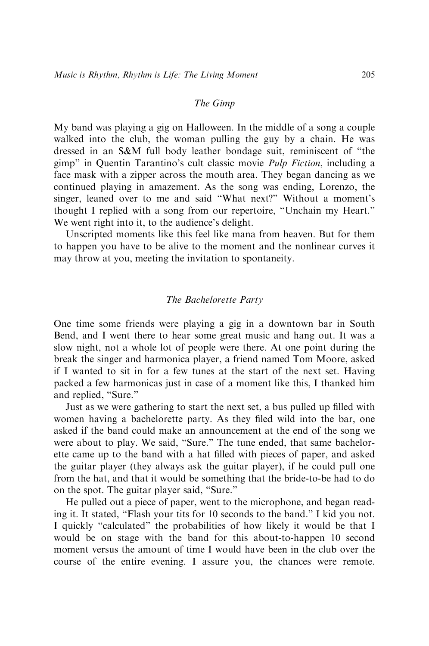#### The Gimp

My band was playing a gig on Halloween. In the middle of a song a couple walked into the club, the woman pulling the guy by a chain. He was dressed in an S&M full body leather bondage suit, reminiscent of "the gimp" in Quentin Tarantino's cult classic movie Pulp Fiction, including a face mask with a zipper across the mouth area. They began dancing as we continued playing in amazement. As the song was ending, Lorenzo, the singer, leaned over to me and said "What next?" Without a moment's thought I replied with a song from our repertoire, "Unchain my Heart." We went right into it, to the audience's delight.

Unscripted moments like this feel like mana from heaven. But for them to happen you have to be alive to the moment and the nonlinear curves it may throw at you, meeting the invitation to spontaneity.

#### The Bachelorette Party

One time some friends were playing a gig in a downtown bar in South Bend, and I went there to hear some great music and hang out. It was a slow night, not a whole lot of people were there. At one point during the break the singer and harmonica player, a friend named Tom Moore, asked if I wanted to sit in for a few tunes at the start of the next set. Having packed a few harmonicas just in case of a moment like this, I thanked him and replied, "Sure."

Just as we were gathering to start the next set, a bus pulled up filled with women having a bachelorette party. As they filed wild into the bar, one asked if the band could make an announcement at the end of the song we were about to play. We said, "Sure." The tune ended, that same bachelorette came up to the band with a hat filled with pieces of paper, and asked the guitar player (they always ask the guitar player), if he could pull one from the hat, and that it would be something that the bride-to-be had to do on the spot. The guitar player said, "Sure."

He pulled out a piece of paper, went to the microphone, and began reading it. It stated, "Flash your tits for 10 seconds to the band." I kid you not. I quickly "calculated" the probabilities of how likely it would be that I would be on stage with the band for this about-to-happen 10 second moment versus the amount of time I would have been in the club over the course of the entire evening. I assure you, the chances were remote.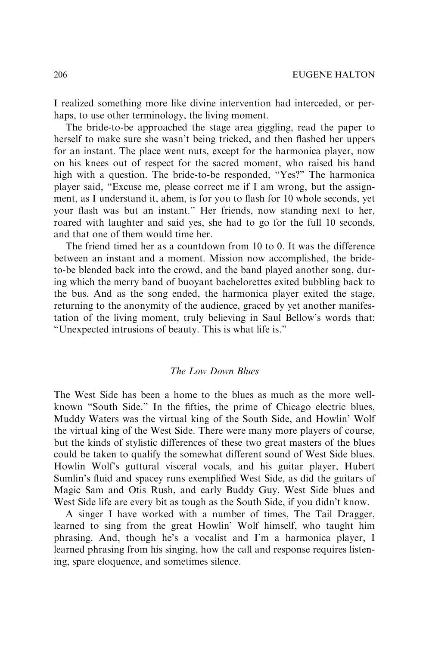I realized something more like divine intervention had interceded, or perhaps, to use other terminology, the living moment.

The bride-to-be approached the stage area giggling, read the paper to herself to make sure she wasn't being tricked, and then flashed her uppers for an instant. The place went nuts, except for the harmonica player, now on his knees out of respect for the sacred moment, who raised his hand high with a question. The bride-to-be responded, "Yes?" The harmonica player said, "Excuse me, please correct me if I am wrong, but the assignment, as I understand it, ahem, is for you to flash for 10 whole seconds, yet your flash was but an instant." Her friends, now standing next to her, roared with laughter and said yes, she had to go for the full 10 seconds, and that one of them would time her.

The friend timed her as a countdown from 10 to 0. It was the difference between an instant and a moment. Mission now accomplished, the brideto-be blended back into the crowd, and the band played another song, during which the merry band of buoyant bachelorettes exited bubbling back to the bus. And as the song ended, the harmonica player exited the stage, returning to the anonymity of the audience, graced by yet another manifestation of the living moment, truly believing in Saul Bellow's words that: "Unexpected intrusions of beauty. This is what life is."

#### The Low Down Blues

The West Side has been a home to the blues as much as the more wellknown "South Side." In the fifties, the prime of Chicago electric blues, Muddy Waters was the virtual king of the South Side, and Howlin' Wolf the virtual king of the West Side. There were many more players of course, but the kinds of stylistic differences of these two great masters of the blues could be taken to qualify the somewhat different sound of West Side blues. Howlin Wolf's guttural visceral vocals, and his guitar player, Hubert Sumlin's fluid and spacey runs exemplified West Side, as did the guitars of Magic Sam and Otis Rush, and early Buddy Guy. West Side blues and West Side life are every bit as tough as the South Side, if you didn't know.

A singer I have worked with a number of times, The Tail Dragger, learned to sing from the great Howlin' Wolf himself, who taught him phrasing. And, though he's a vocalist and I'm a harmonica player, I learned phrasing from his singing, how the call and response requires listening, spare eloquence, and sometimes silence.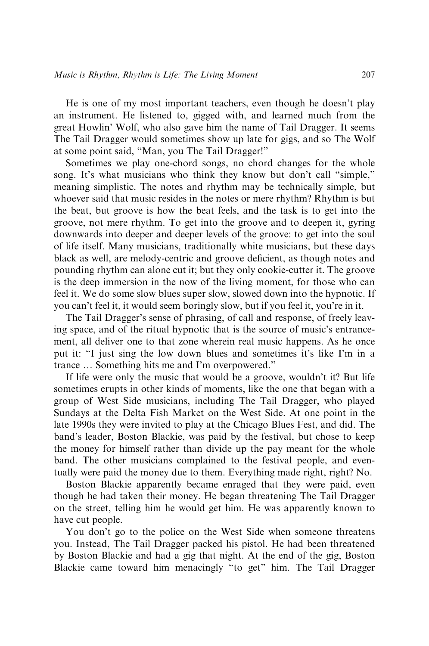He is one of my most important teachers, even though he doesn't play an instrument. He listened to, gigged with, and learned much from the great Howlin' Wolf, who also gave him the name of Tail Dragger. It seems The Tail Dragger would sometimes show up late for gigs, and so The Wolf at some point said, "Man, you The Tail Dragger!"

Sometimes we play one-chord songs, no chord changes for the whole song. It's what musicians who think they know but don't call "simple," meaning simplistic. The notes and rhythm may be technically simple, but whoever said that music resides in the notes or mere rhythm? Rhythm is but the beat, but groove is how the beat feels, and the task is to get into the groove, not mere rhythm. To get into the groove and to deepen it, gyring downwards into deeper and deeper levels of the groove: to get into the soul of life itself. Many musicians, traditionally white musicians, but these days black as well, are melody-centric and groove deficient, as though notes and pounding rhythm can alone cut it; but they only cookie-cutter it. The groove is the deep immersion in the now of the living moment, for those who can feel it. We do some slow blues super slow, slowed down into the hypnotic. If you can't feel it, it would seem boringly slow, but if you feel it, you're in it.

The Tail Dragger's sense of phrasing, of call and response, of freely leaving space, and of the ritual hypnotic that is the source of music's entrancement, all deliver one to that zone wherein real music happens. As he once put it: "I just sing the low down blues and sometimes it's like I'm in a trance … Something hits me and I'm overpowered."

If life were only the music that would be a groove, wouldn't it? But life sometimes erupts in other kinds of moments, like the one that began with a group of West Side musicians, including The Tail Dragger, who played Sundays at the Delta Fish Market on the West Side. At one point in the late 1990s they were invited to play at the Chicago Blues Fest, and did. The band's leader, Boston Blackie, was paid by the festival, but chose to keep the money for himself rather than divide up the pay meant for the whole band. The other musicians complained to the festival people, and eventually were paid the money due to them. Everything made right, right? No.

Boston Blackie apparently became enraged that they were paid, even though he had taken their money. He began threatening The Tail Dragger on the street, telling him he would get him. He was apparently known to have cut people.

You don't go to the police on the West Side when someone threatens you. Instead, The Tail Dragger packed his pistol. He had been threatened by Boston Blackie and had a gig that night. At the end of the gig, Boston Blackie came toward him menacingly "to get" him. The Tail Dragger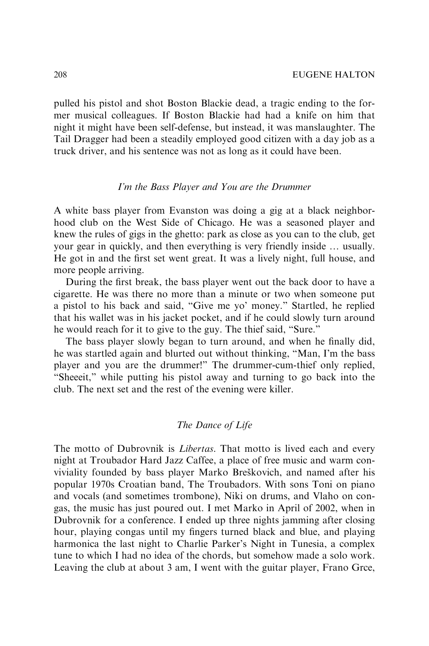pulled his pistol and shot Boston Blackie dead, a tragic ending to the former musical colleagues. If Boston Blackie had had a knife on him that night it might have been self-defense, but instead, it was manslaughter. The Tail Dragger had been a steadily employed good citizen with a day job as a truck driver, and his sentence was not as long as it could have been.

#### I'm the Bass Player and You are the Drummer

A white bass player from Evanston was doing a gig at a black neighborhood club on the West Side of Chicago. He was a seasoned player and knew the rules of gigs in the ghetto: park as close as you can to the club, get your gear in quickly, and then everything is very friendly inside … usually. He got in and the first set went great. It was a lively night, full house, and more people arriving.

During the first break, the bass player went out the back door to have a cigarette. He was there no more than a minute or two when someone put a pistol to his back and said, "Give me yo' money." Startled, he replied that his wallet was in his jacket pocket, and if he could slowly turn around he would reach for it to give to the guy. The thief said, "Sure."

The bass player slowly began to turn around, and when he finally did, he was startled again and blurted out without thinking, "Man, I'm the bass player and you are the drummer!" The drummer-cum-thief only replied, "Sheeeit," while putting his pistol away and turning to go back into the club. The next set and the rest of the evening were killer.

#### The Dance of Life

The motto of Dubrovnik is Libertas. That motto is lived each and every night at Troubador Hard Jazz Caffee, a place of free music and warm conviviality founded by bass player Marko Breškovich, and named after his popular 1970s Croatian band, The Troubadors. With sons Toni on piano and vocals (and sometimes trombone), Niki on drums, and Vlaho on congas, the music has just poured out. I met Marko in April of 2002, when in Dubrovnik for a conference. I ended up three nights jamming after closing hour, playing congas until my fingers turned black and blue, and playing harmonica the last night to Charlie Parker's Night in Tunesia, a complex tune to which I had no idea of the chords, but somehow made a solo work. Leaving the club at about 3 am, I went with the guitar player, Frano Grce,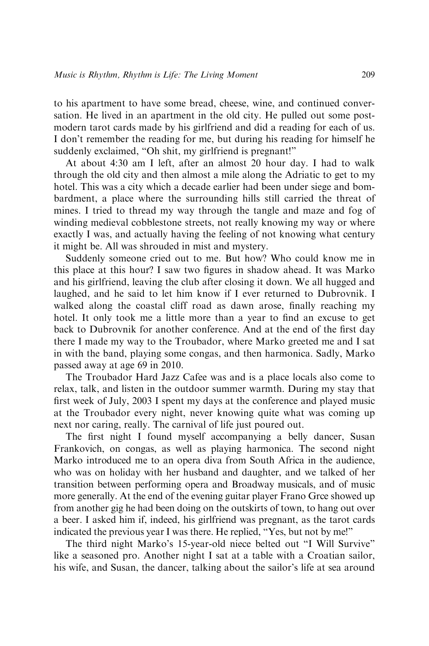to his apartment to have some bread, cheese, wine, and continued conversation. He lived in an apartment in the old city. He pulled out some postmodern tarot cards made by his girlfriend and did a reading for each of us. I don't remember the reading for me, but during his reading for himself he suddenly exclaimed, "Oh shit, my girlfriend is pregnant!"

At about 4:30 am I left, after an almost 20 hour day. I had to walk through the old city and then almost a mile along the Adriatic to get to my hotel. This was a city which a decade earlier had been under siege and bombardment, a place where the surrounding hills still carried the threat of mines. I tried to thread my way through the tangle and maze and fog of winding medieval cobblestone streets, not really knowing my way or where exactly I was, and actually having the feeling of not knowing what century it might be. All was shrouded in mist and mystery.

Suddenly someone cried out to me. But how? Who could know me in this place at this hour? I saw two figures in shadow ahead. It was Marko and his girlfriend, leaving the club after closing it down. We all hugged and laughed, and he said to let him know if I ever returned to Dubrovnik. I walked along the coastal cliff road as dawn arose, finally reaching my hotel. It only took me a little more than a year to find an excuse to get back to Dubrovnik for another conference. And at the end of the first day there I made my way to the Troubador, where Marko greeted me and I sat in with the band, playing some congas, and then harmonica. Sadly, Marko passed away at age 69 in 2010.

The Troubador Hard Jazz Cafee was and is a place locals also come to relax, talk, and listen in the outdoor summer warmth. During my stay that first week of July, 2003 I spent my days at the conference and played music at the Troubador every night, never knowing quite what was coming up next nor caring, really. The carnival of life just poured out.

The first night I found myself accompanying a belly dancer, Susan Frankovich, on congas, as well as playing harmonica. The second night Marko introduced me to an opera diva from South Africa in the audience, who was on holiday with her husband and daughter, and we talked of her transition between performing opera and Broadway musicals, and of music more generally. At the end of the evening guitar player Frano Grce showed up from another gig he had been doing on the outskirts of town, to hang out over a beer. I asked him if, indeed, his girlfriend was pregnant, as the tarot cards indicated the previous year I was there. He replied, "Yes, but not by me!"

The third night Marko's 15-year-old niece belted out "I Will Survive" like a seasoned pro. Another night I sat at a table with a Croatian sailor, his wife, and Susan, the dancer, talking about the sailor's life at sea around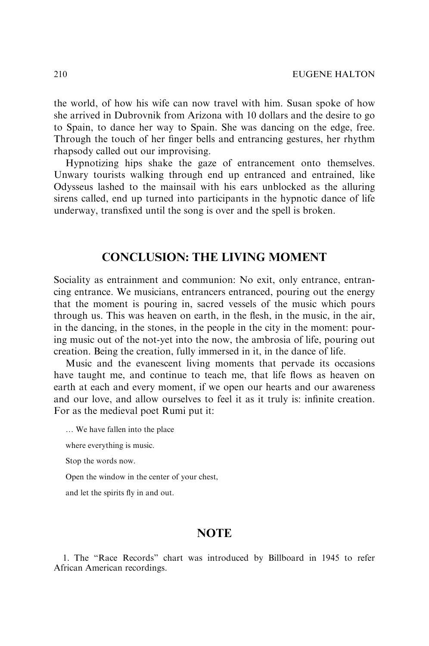<span id="page-13-0"></span>the world, of how his wife can now travel with him. Susan spoke of how she arrived in Dubrovnik from Arizona with 10 dollars and the desire to go to Spain, to dance her way to Spain. She was dancing on the edge, free. Through the touch of her finger bells and entrancing gestures, her rhythm rhapsody called out our improvising.

Hypnotizing hips shake the gaze of entrancement onto themselves. Unwary tourists walking through end up entranced and entrained, like Odysseus lashed to the mainsail with his ears unblocked as the alluring sirens called, end up turned into participants in the hypnotic dance of life underway, transfixed until the song is over and the spell is broken.

### CONCLUSION: THE LIVING MOMENT

Sociality as entrainment and communion: No exit, only entrance, entrancing entrance. We musicians, entrancers entranced, pouring out the energy that the moment is pouring in, sacred vessels of the music which pours through us. This was heaven on earth, in the flesh, in the music, in the air, in the dancing, in the stones, in the people in the city in the moment: pouring music out of the not-yet into the now, the ambrosia of life, pouring out creation. Being the creation, fully immersed in it, in the dance of life.

Music and the evanescent living moments that pervade its occasions have taught me, and continue to teach me, that life flows as heaven on earth at each and every moment, if we open our hearts and our awareness and our love, and allow ourselves to feel it as it truly is: infinite creation. For as the medieval poet Rumi put it:

… We have fallen into the place where everything is music. Stop the words now. Open the window in the center of your chest, and let the spirits fly in and out.

## **NOTE**

1. The "Race Records" chart was introduced by Billboard in 1945 to refer African American recordings.